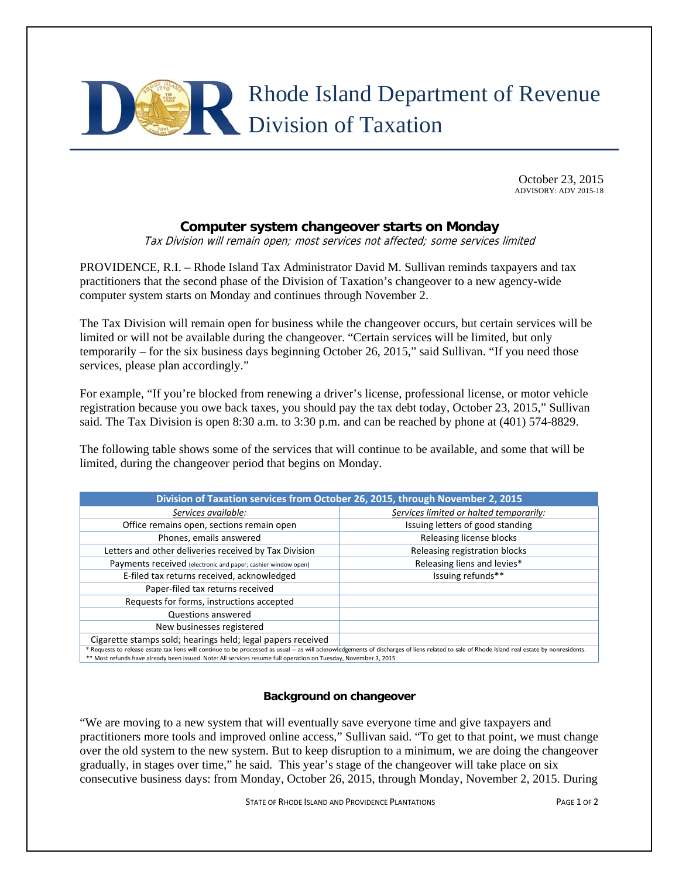

October 23, 2015 ADVISORY: ADV 2015-18

## **Computer system changeover starts on Monday**

Tax Division will remain open; most services not affected; some services limited

PROVIDENCE, R.I. – Rhode Island Tax Administrator David M. Sullivan reminds taxpayers and tax practitioners that the second phase of the Division of Taxation's changeover to a new agency-wide computer system starts on Monday and continues through November 2.

The Tax Division will remain open for business while the changeover occurs, but certain services will be limited or will not be available during the changeover. "Certain services will be limited, but only temporarily – for the six business days beginning October 26, 2015," said Sullivan. "If you need those services, please plan accordingly."

For example, "If you're blocked from renewing a driver's license, professional license, or motor vehicle registration because you owe back taxes, you should pay the tax debt today, October 23, 2015," Sullivan said. The Tax Division is open 8:30 a.m. to 3:30 p.m. and can be reached by phone at (401) 574-8829.

The following table shows some of the services that will continue to be available, and some that will be limited, during the changeover period that begins on Monday.

| Division of Taxation services from October 26, 2015, through November 2, 2015                                                                                                                                                                                                                                    |                                         |
|------------------------------------------------------------------------------------------------------------------------------------------------------------------------------------------------------------------------------------------------------------------------------------------------------------------|-----------------------------------------|
| Services available:                                                                                                                                                                                                                                                                                              | Services limited or halted temporarily: |
| Office remains open, sections remain open                                                                                                                                                                                                                                                                        | Issuing letters of good standing        |
| Phones, emails answered                                                                                                                                                                                                                                                                                          | Releasing license blocks                |
| Letters and other deliveries received by Tax Division                                                                                                                                                                                                                                                            | Releasing registration blocks           |
| Payments received (electronic and paper; cashier window open)                                                                                                                                                                                                                                                    | Releasing liens and levies*             |
| E-filed tax returns received, acknowledged                                                                                                                                                                                                                                                                       | Issuing refunds**                       |
| Paper-filed tax returns received                                                                                                                                                                                                                                                                                 |                                         |
| Requests for forms, instructions accepted                                                                                                                                                                                                                                                                        |                                         |
| Questions answered                                                                                                                                                                                                                                                                                               |                                         |
| New businesses registered                                                                                                                                                                                                                                                                                        |                                         |
| Cigarette stamps sold; hearings held; legal papers received                                                                                                                                                                                                                                                      |                                         |
| * Requests to release estate tax liens will continue to be processed as usual -- as will acknowledgements of discharges of liens related to sale of Rhode Island real estate by nonresidents.<br>** Most refunds have already been issued. Note: All sensices resume full eperation on Tuesday, November 2, 2015 |                                         |

\*\* Most refunds have already been issued. Note: All services resume full operation on Tuesday, November 3, 2015

## **Background on changeover**

"We are moving to a new system that will eventually save everyone time and give taxpayers and practitioners more tools and improved online access," Sullivan said. "To get to that point, we must change over the old system to the new system. But to keep disruption to a minimum, we are doing the changeover gradually, in stages over time," he said. This year's stage of the changeover will take place on six consecutive business days: from Monday, October 26, 2015, through Monday, November 2, 2015. During